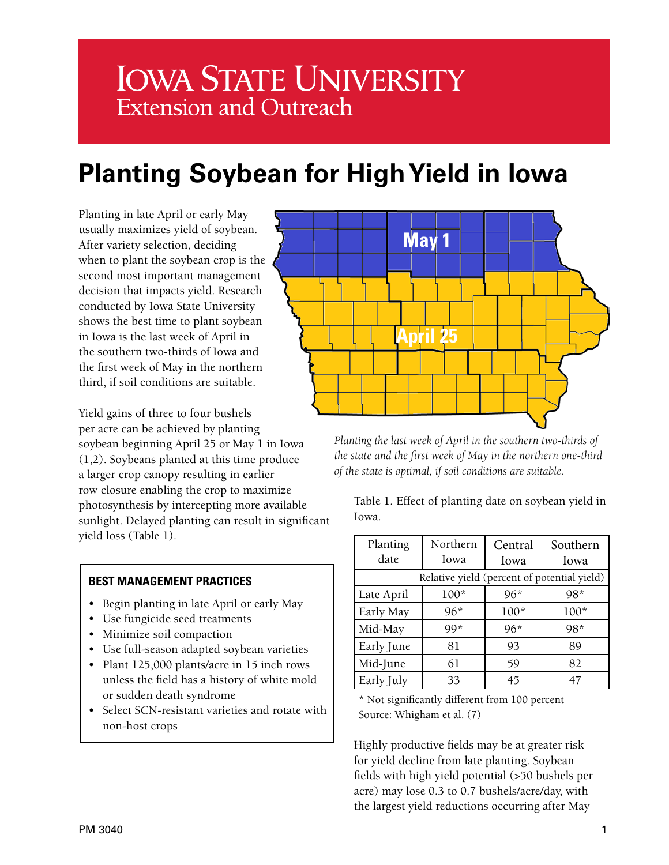# **IOWA STATE UNIVERSITY Extension and Outreach**

## **Planting Soybean for High Yield in Iowa**

Planting in late April or early May usually maximizes yield of soybean. After variety selection, deciding when to plant the soybean crop is the second most important management decision that impacts yield. Research conducted by Iowa State University shows the best time to plant soybean in Iowa is the last week of April in the southern two-thirds of Iowa and the first week of May in the northern third, if soil conditions are suitable.

Yield gains of three to four bushels per acre can be achieved by planting soybean beginning April 25 or May 1 in Iowa (1,2). Soybeans planted at this time produce a larger crop canopy resulting in earlier row closure enabling the crop to maximize photosynthesis by intercepting more available sunlight. Delayed planting can result in significant yield loss (Table 1).

## **BEST MANAGEMENT PRACTICES**

- Begin planting in late April or early May
- Use fungicide seed treatments
- Minimize soil compaction
- Use full-season adapted soybean varieties
- Plant 125,000 plants/acre in 15 inch rows unless the field has a history of white mold or sudden death syndrome
- Select SCN-resistant varieties and rotate with non-host crops



*Planting the last week of April in the southern two-thirds of the state and the first week of May in the northern one-third of the state is optimal, if soil conditions are suitable.*

Table 1. Effect of planting date on soybean yield in Iowa.

| Planting<br>date                            | Northern<br>Iowa | Central<br>Iowa | Southern<br>Iowa |
|---------------------------------------------|------------------|-----------------|------------------|
| Relative yield (percent of potential yield) |                  |                 |                  |
| Late April                                  | $100*$           | $96*$           | $98*$            |
| Early May                                   | $96*$            | $100*$          | $100*$           |
| Mid-May                                     | $99*$            | $96*$           | 98*              |
| Early June                                  | 81               | 93              | 89               |
| Mid-June                                    | 61               | 59              | 82               |
| Early July                                  | 33               | 45              | 47               |

\* Not significantly different from 100 percent Source: Whigham et al. (7)

Highly productive fields may be at greater risk for yield decline from late planting. Soybean fields with high yield potential (>50 bushels per acre) may lose 0.3 to 0.7 bushels/acre/day, with the largest yield reductions occurring after May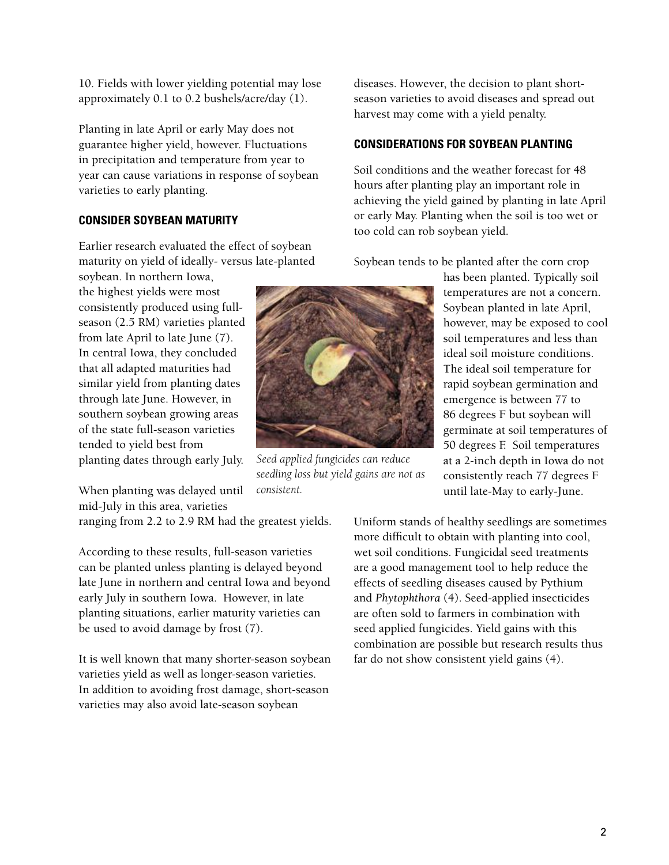temperatures are not a concern. Soybean planted in late April, however, may be exposed to cool soil temperatures and less than ideal soil moisture conditions. The ideal soil temperature for rapid soybean germination and emergence is between 77 to 86 degrees F but soybean will germinate at soil temperatures of 50 degrees F. Soil temperatures at a 2-inch depth in Iowa do not consistently reach 77 degrees F until late-May to early-June.

has been planted. Typically soil

diseases. However, the decision to plant shortseason varieties to avoid diseases and spread out harvest may come with a yield penalty.

## **CONSIDERATIONS FOR SOYBEAN PLANTING**

Soil conditions and the weather forecast for 48 hours after planting play an important role in achieving the yield gained by planting in late April or early May. Planting when the soil is too wet or too cold can rob soybean yield.

Soybean tends to be planted after the corn crop

10. Fields with lower yielding potential may lose approximately 0.1 to 0.2 bushels/acre/day (1).

Planting in late April or early May does not guarantee higher yield, however. Fluctuations in precipitation and temperature from year to year can cause variations in response of soybean varieties to early planting.

## **CONSIDER SOYBEAN MATURITY**

Earlier research evaluated the effect of soybean maturity on yield of ideally- versus late-planted

soybean. In northern Iowa, the highest yields were most consistently produced using fullseason (2.5 RM) varieties planted from late April to late June (7). In central Iowa, they concluded that all adapted maturities had similar yield from planting dates through late June. However, in southern soybean growing areas of the state full-season varieties tended to yield best from planting dates through early July.

When planting was delayed until mid-July in this area, varieties

ranging from 2.2 to 2.9 RM had the greatest yields.

According to these results, full-season varieties can be planted unless planting is delayed beyond late June in northern and central Iowa and beyond early July in southern Iowa. However, in late planting situations, earlier maturity varieties can be used to avoid damage by frost (7).

It is well known that many shorter-season soybean varieties yield as well as longer-season varieties. In addition to avoiding frost damage, short-season varieties may also avoid late-season soybean

*Seed applied fungicides can reduce seedling loss but yield gains are not as consistent.*

2

Uniform stands of healthy seedlings are sometimes more difficult to obtain with planting into cool, wet soil conditions. Fungicidal seed treatments are a good management tool to help reduce the effects of seedling diseases caused by Pythium and *Phytophthora* (4). Seed-applied insecticides are often sold to farmers in combination with seed applied fungicides. Yield gains with this combination are possible but research results thus far do not show consistent yield gains (4).